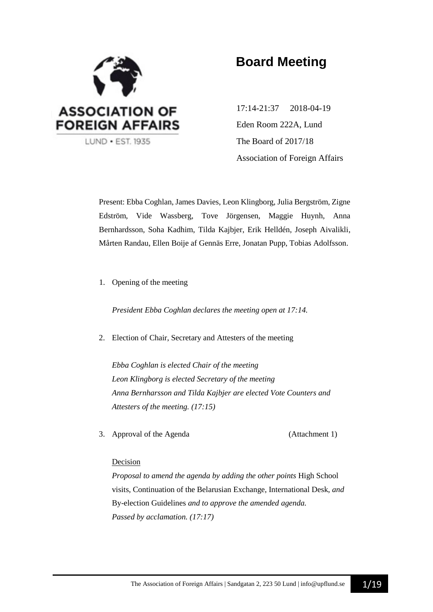

# **Board Meeting**

17:14-21:37 2018-04-19 Eden Room 222A, Lund The Board of 2017/18 Association of Foreign Affairs

Present: Ebba Coghlan, James Davies, Leon Klingborg, Julia Bergström, Zigne Edström, Vide Wassberg, Tove Jörgensen, Maggie Huynh, Anna Bernhardsson, Soha Kadhim, Tilda Kajbjer, Erik Helldén, Joseph Aivalikli, Mårten Randau, Ellen Boije af Gennäs Erre, Jonatan Pupp, Tobias Adolfsson.

1. Opening of the meeting

*President Ebba Coghlan declares the meeting open at 17:14.*

2. Election of Chair, Secretary and Attesters of the meeting

*Ebba Coghlan is elected Chair of the meeting Leon Klingborg is elected Secretary of the meeting Anna Bernharsson and Tilda Kajbjer are elected Vote Counters and Attesters of the meeting. (17:15)*

3. Approval of the Agenda (Attachment 1)

#### Decision

*Proposal to amend the agenda by adding the other points* High School visits, Continuation of the Belarusian Exchange, International Desk, *and*  By-election Guidelines *and to approve the amended agenda. Passed by acclamation. (17:17)*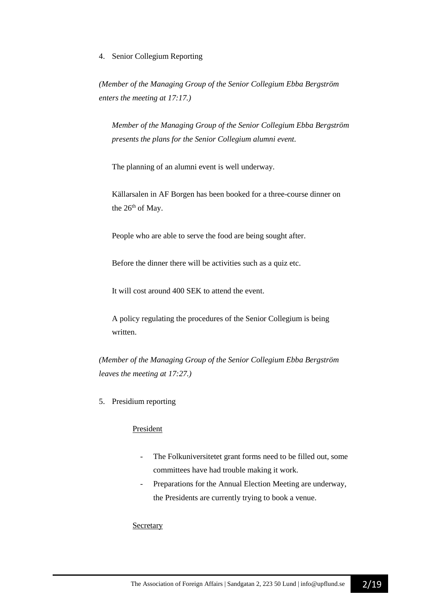#### 4. Senior Collegium Reporting

*(Member of the Managing Group of the Senior Collegium Ebba Bergström enters the meeting at 17:17.)*

*Member of the Managing Group of the Senior Collegium Ebba Bergström presents the plans for the Senior Collegium alumni event.*

The planning of an alumni event is well underway.

Källarsalen in AF Borgen has been booked for a three-course dinner on the 26<sup>th</sup> of May.

People who are able to serve the food are being sought after.

Before the dinner there will be activities such as a quiz etc.

It will cost around 400 SEK to attend the event.

A policy regulating the procedures of the Senior Collegium is being written.

*(Member of the Managing Group of the Senior Collegium Ebba Bergström leaves the meeting at 17:27.)*

5. Presidium reporting

## President

- The Folkuniversitetet grant forms need to be filled out, some committees have had trouble making it work.
- Preparations for the Annual Election Meeting are underway, the Presidents are currently trying to book a venue.

#### Secretary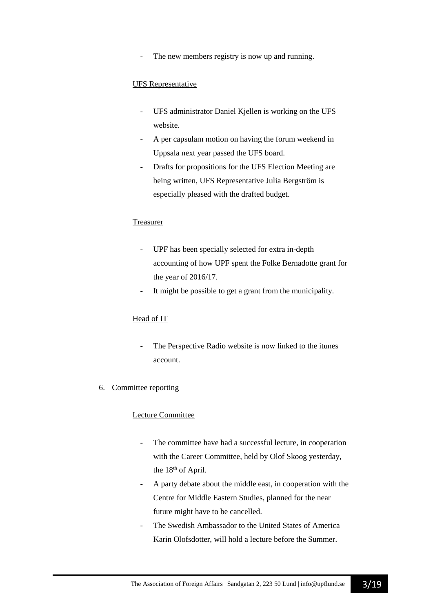The new members registry is now up and running.

#### UFS Representative

- UFS administrator Daniel Kjellen is working on the UFS website.
- A per capsulam motion on having the forum weekend in Uppsala next year passed the UFS board.
- Drafts for propositions for the UFS Election Meeting are being written, UFS Representative Julia Bergström is especially pleased with the drafted budget.

#### Treasurer

- UPF has been specially selected for extra in-depth accounting of how UPF spent the Folke Bernadotte grant for the year of 2016/17.
- It might be possible to get a grant from the municipality.

#### Head of IT

- The Perspective Radio website is now linked to the itunes account.
- 6. Committee reporting

#### Lecture Committee

- The committee have had a successful lecture, in cooperation with the Career Committee, held by Olof Skoog yesterday, the 18<sup>th</sup> of April.
- A party debate about the middle east, in cooperation with the Centre for Middle Eastern Studies, planned for the near future might have to be cancelled.
- The Swedish Ambassador to the United States of America Karin Olofsdotter, will hold a lecture before the Summer.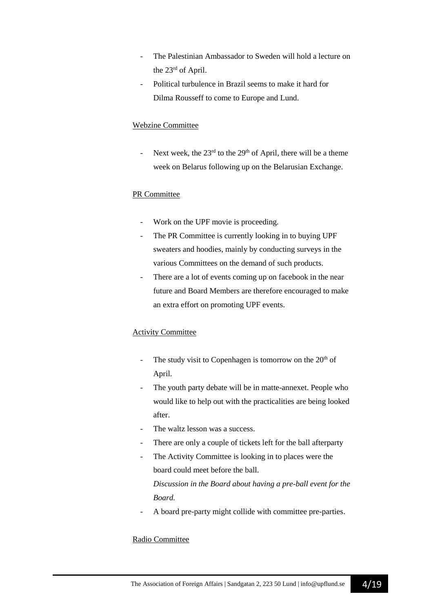- The Palestinian Ambassador to Sweden will hold a lecture on the 23rd of April.
- Political turbulence in Brazil seems to make it hard for Dilma Rousseff to come to Europe and Lund.

## Webzine Committee

- Next week, the  $23<sup>rd</sup>$  to the  $29<sup>th</sup>$  of April, there will be a theme week on Belarus following up on the Belarusian Exchange.

## PR Committee

- Work on the UPF movie is proceeding.
- The PR Committee is currently looking in to buying UPF sweaters and hoodies, mainly by conducting surveys in the various Committees on the demand of such products.
- There are a lot of events coming up on facebook in the near future and Board Members are therefore encouraged to make an extra effort on promoting UPF events.

## Activity Committee

- The study visit to Copenhagen is tomorrow on the  $20<sup>th</sup>$  of April.
- The youth party debate will be in matte-annexet. People who would like to help out with the practicalities are being looked after.
- The waltz lesson was a success.
- There are only a couple of tickets left for the ball afterparty
- The Activity Committee is looking in to places were the board could meet before the ball.

*Discussion in the Board about having a pre-ball event for the Board.*

A board pre-party might collide with committee pre-parties.

#### Radio Committee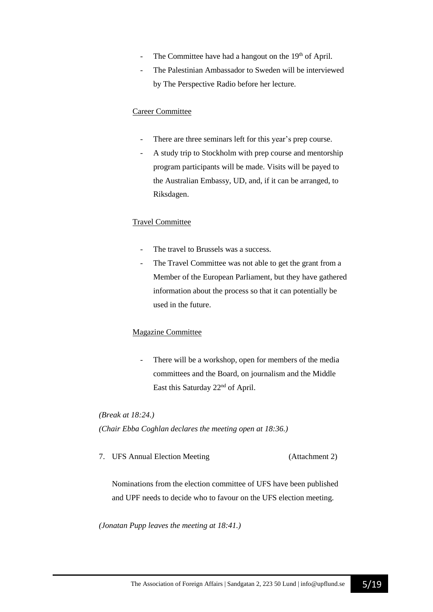- The Committee have had a hangout on the 19<sup>th</sup> of April.
- The Palestinian Ambassador to Sweden will be interviewed by The Perspective Radio before her lecture.

#### Career Committee

- There are three seminars left for this year's prep course.
- A study trip to Stockholm with prep course and mentorship program participants will be made. Visits will be payed to the Australian Embassy, UD, and, if it can be arranged, to Riksdagen.

#### Travel Committee

- The travel to Brussels was a success.
- The Travel Committee was not able to get the grant from a Member of the European Parliament, but they have gathered information about the process so that it can potentially be used in the future.

#### Magazine Committee

- There will be a workshop, open for members of the media committees and the Board, on journalism and the Middle East this Saturday 22nd of April.

*(Break at 18:24.)*

*(Chair Ebba Coghlan declares the meeting open at 18:36.)*

7. UFS Annual Election Meeting (Attachment 2)

Nominations from the election committee of UFS have been published and UPF needs to decide who to favour on the UFS election meeting.

*(Jonatan Pupp leaves the meeting at 18:41.)*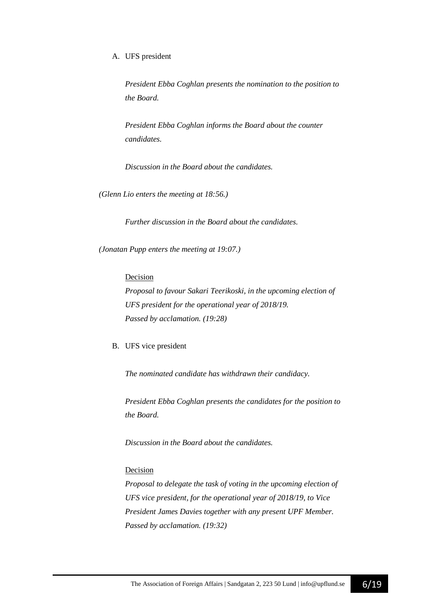#### A. UFS president

*President Ebba Coghlan presents the nomination to the position to the Board.*

*President Ebba Coghlan informs the Board about the counter candidates.*

*Discussion in the Board about the candidates.*

*(Glenn Lio enters the meeting at 18:56.)*

*Further discussion in the Board about the candidates.*

*(Jonatan Pupp enters the meeting at 19:07.)*

Decision

*Proposal to favour Sakari Teerikoski, in the upcoming election of UFS president for the operational year of 2018/19. Passed by acclamation. (19:28)*

B. UFS vice president

*The nominated candidate has withdrawn their candidacy.*

*President Ebba Coghlan presents the candidates for the position to the Board.*

*Discussion in the Board about the candidates.*

#### Decision

*Proposal to delegate the task of voting in the upcoming election of UFS vice president, for the operational year of 2018/19, to Vice President James Davies together with any present UPF Member. Passed by acclamation. (19:32)*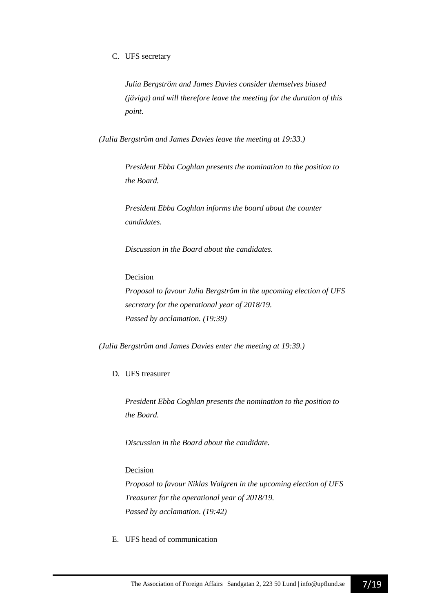#### C. UFS secretary

*Julia Bergström and James Davies consider themselves biased (jäviga) and will therefore leave the meeting for the duration of this point.*

*(Julia Bergström and James Davies leave the meeting at 19:33.)*

*President Ebba Coghlan presents the nomination to the position to the Board.*

*President Ebba Coghlan informs the board about the counter candidates.*

*Discussion in the Board about the candidates.*

#### Decision

*Proposal to favour Julia Bergström in the upcoming election of UFS secretary for the operational year of 2018/19. Passed by acclamation. (19:39)*

*(Julia Bergström and James Davies enter the meeting at 19:39.)*

#### D. UFS treasurer

*President Ebba Coghlan presents the nomination to the position to the Board.*

*Discussion in the Board about the candidate.*

#### Decision

*Proposal to favour Niklas Walgren in the upcoming election of UFS Treasurer for the operational year of 2018/19. Passed by acclamation. (19:42)*

#### E. UFS head of communication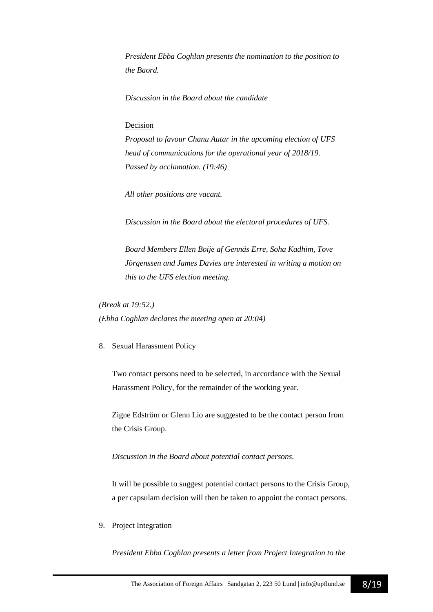*President Ebba Coghlan presents the nomination to the position to the Baord.*

*Discussion in the Board about the candidate*

#### Decision

*Proposal to favour Chanu Autar in the upcoming election of UFS head of communications for the operational year of 2018/19. Passed by acclamation. (19:46)*

*All other positions are vacant.*

*Discussion in the Board about the electoral procedures of UFS.*

*Board Members Ellen Boije af Gennäs Erre, Soha Kadhim, Tove Jörgenssen and James Davies are interested in writing a motion on this to the UFS election meeting.*

*(Break at 19:52.) (Ebba Coghlan declares the meeting open at 20:04)*

8. Sexual Harassment Policy

Two contact persons need to be selected, in accordance with the Sexual Harassment Policy, for the remainder of the working year.

Zigne Edström or Glenn Lio are suggested to be the contact person from the Crisis Group.

*Discussion in the Board about potential contact persons.*

It will be possible to suggest potential contact persons to the Crisis Group, a per capsulam decision will then be taken to appoint the contact persons.

9. Project Integration

*President Ebba Coghlan presents a letter from Project Integration to the*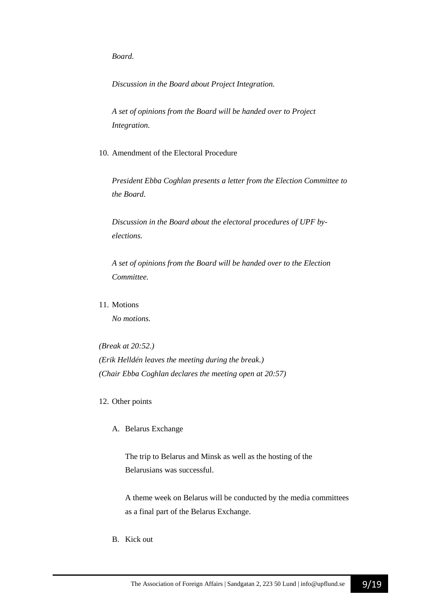*Board.*

*Discussion in the Board about Project Integration.*

*A set of opinions from the Board will be handed over to Project Integration.*

10. Amendment of the Electoral Procedure

*President Ebba Coghlan presents a letter from the Election Committee to the Board.*

*Discussion in the Board about the electoral procedures of UPF byelections.*

*A set of opinions from the Board will be handed over to the Election Committee.*

11. Motions

*No motions.*

*(Break at 20:52.) (Erik Helldén leaves the meeting during the break.) (Chair Ebba Coghlan declares the meeting open at 20:57)*

12. Other points

A. Belarus Exchange

The trip to Belarus and Minsk as well as the hosting of the Belarusians was successful.

A theme week on Belarus will be conducted by the media committees as a final part of the Belarus Exchange.

B. Kick out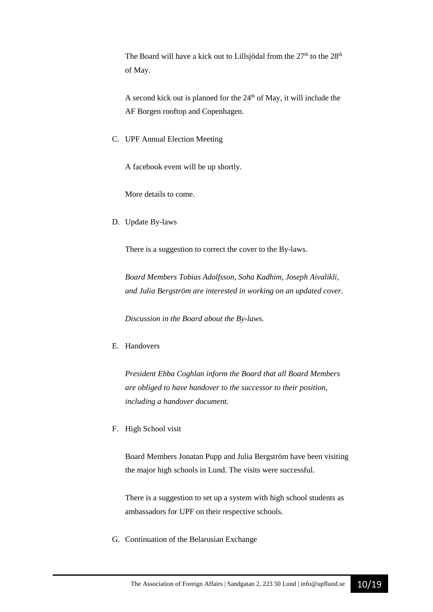The Board will have a kick out to Lillsjödal from the  $27<sup>th</sup>$  to the  $28<sup>th</sup>$ of May.

A second kick out is planned for the  $24<sup>th</sup>$  of May, it will include the AF Borgen rooftop and Copenhagen.

C. UPF Annual Election Meeting

A facebook event will be up shortly.

More details to come.

D. Update By-laws

There is a suggestion to correct the cover to the By-laws.

*Board Members Tobias Adolfsson, Soha Kadhim, Joseph Aivalikli, and Julia Bergström are interested in working on an updated cover.*

*Discussion in the Board about the By-laws.*

E. Handovers

*President Ebba Coghlan inform the Board that all Board Members are obliged to have handover to the successor to their position, including a handover document.*

F. High School visit

Board Members Jonatan Pupp and Julia Bergström have been visiting the major high schools in Lund. The visits were successful.

There is a suggestion to set up a system with high school students as ambassadors for UPF on their respective schools.

G. Continuation of the Belarusian Exchange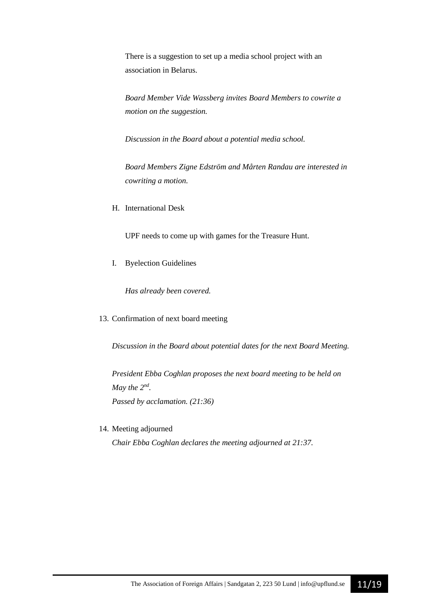There is a suggestion to set up a media school project with an association in Belarus.

*Board Member Vide Wassberg invites Board Members to cowrite a motion on the suggestion.*

*Discussion in the Board about a potential media school.*

*Board Members Zigne Edström and Mårten Randau are interested in cowriting a motion.*

H. International Desk

UPF needs to come up with games for the Treasure Hunt.

I. Byelection Guidelines

*Has already been covered.*

13. Confirmation of next board meeting

*Discussion in the Board about potential dates for the next Board Meeting.*

*President Ebba Coghlan proposes the next board meeting to be held on May the*  $2^{nd}$ *. Passed by acclamation. (21:36)*

14. Meeting adjourned

*Chair Ebba Coghlan declares the meeting adjourned at 21:37.*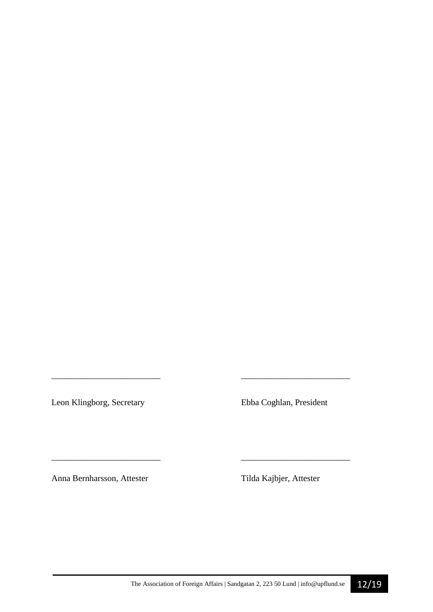Leon Klingborg, Secretary Ebba Coghlan, President

*\_\_\_\_\_\_\_\_\_\_\_\_\_\_\_\_\_\_\_\_\_\_\_\_\_ \_\_\_\_\_\_\_\_\_\_\_\_\_\_\_\_\_\_\_\_\_\_\_\_\_* 

\_\_\_\_\_\_\_\_\_\_\_\_\_\_\_\_\_\_\_\_\_\_\_\_\_ \_\_\_\_\_\_\_\_\_\_\_\_\_\_\_\_\_\_\_\_\_\_\_\_\_

Anna Bernharsson, Attester Tilda Kajbjer, Attester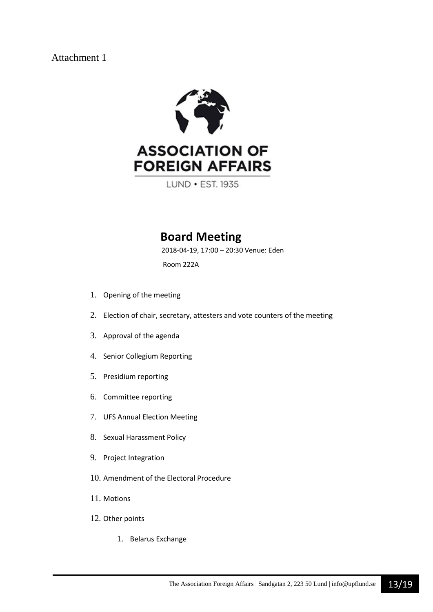Attachment 1



LUND . EST. 1935

## **Board Meeting**

2018-04-19, 17:00 – 20:30 Venue: Eden

Room 222A

- 1. Opening of the meeting
- 2. Election of chair, secretary, attesters and vote counters of the meeting
- 3. Approval of the agenda
- 4. Senior Collegium Reporting
- 5. Presidium reporting
- 6. Committee reporting
- 7. UFS Annual Election Meeting
- 8. Sexual Harassment Policy
- 9. Project Integration
- 10. Amendment of the Electoral Procedure
- 11. Motions
- 12. Other points
	- 1. Belarus Exchange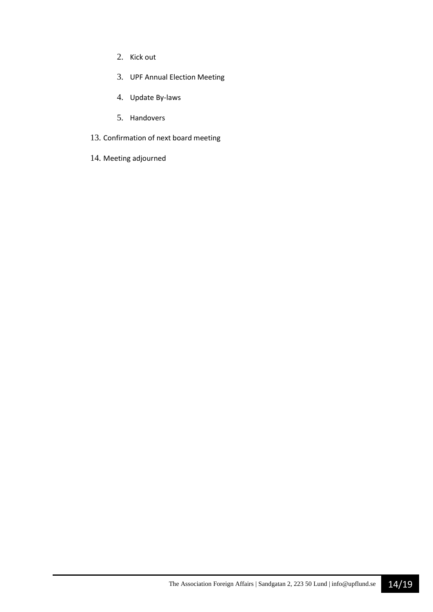- 2. Kick out
- 3. UPF Annual Election Meeting
- 4. Update By-laws
- 5. Handovers
- 13. Confirmation of next board meeting
- 14. Meeting adjourned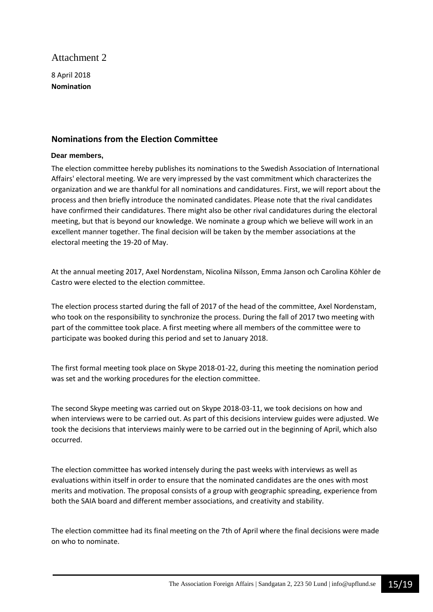## Attachment 2

8 April 2018 **Nomination** 

## **Nominations from the Election Committee**

#### **Dear members,**

The election committee hereby publishes its nominations to the Swedish Association of International Affairs' electoral meeting. We are very impressed by the vast commitment which characterizes the organization and we are thankful for all nominations and candidatures. First, we will report about the process and then briefly introduce the nominated candidates. Please note that the rival candidates have confirmed their candidatures. There might also be other rival candidatures during the electoral meeting, but that is beyond our knowledge. We nominate a group which we believe will work in an excellent manner together. The final decision will be taken by the member associations at the electoral meeting the 19-20 of May.

At the annual meeting 2017, Axel Nordenstam, Nicolina Nilsson, Emma Janson och Carolina Köhler de Castro were elected to the election committee.

The election process started during the fall of 2017 of the head of the committee, Axel Nordenstam, who took on the responsibility to synchronize the process. During the fall of 2017 two meeting with part of the committee took place. A first meeting where all members of the committee were to participate was booked during this period and set to January 2018.

The first formal meeting took place on Skype 2018-01-22, during this meeting the nomination period was set and the working procedures for the election committee.

The second Skype meeting was carried out on Skype 2018-03-11, we took decisions on how and when interviews were to be carried out. As part of this decisions interview guides were adjusted. We took the decisions that interviews mainly were to be carried out in the beginning of April, which also occurred.

The election committee has worked intensely during the past weeks with interviews as well as evaluations within itself in order to ensure that the nominated candidates are the ones with most merits and motivation. The proposal consists of a group with geographic spreading, experience from both the SAIA board and different member associations, and creativity and stability.

The election committee had its final meeting on the 7th of April where the final decisions were made on who to nominate.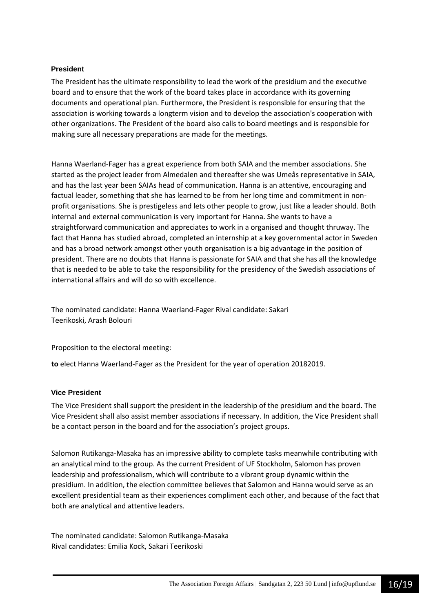#### **President**

The President has the ultimate responsibility to lead the work of the presidium and the executive board and to ensure that the work of the board takes place in accordance with its governing documents and operational plan. Furthermore, the President is responsible for ensuring that the association is working towards a longterm vision and to develop the association's cooperation with other organizations. The President of the board also calls to board meetings and is responsible for making sure all necessary preparations are made for the meetings.

Hanna Waerland-Fager has a great experience from both SAIA and the member associations. She started as the project leader from Almedalen and thereafter she was Umeås representative in SAIA, and has the last year been SAIAs head of communication. Hanna is an attentive, encouraging and factual leader, something that she has learned to be from her long time and commitment in nonprofit organisations. She is prestigeless and lets other people to grow, just like a leader should. Both internal and external communication is very important for Hanna. She wants to have a straightforward communication and appreciates to work in a organised and thought thruway. The fact that Hanna has studied abroad, completed an internship at a key governmental actor in Sweden and has a broad network amongst other youth organisation is a big advantage in the position of president. There are no doubts that Hanna is passionate for SAIA and that she has all the knowledge that is needed to be able to take the responsibility for the presidency of the Swedish associations of international affairs and will do so with excellence.

The nominated candidate: Hanna Waerland-Fager Rival candidate: Sakari Teerikoski, Arash Bolouri

Proposition to the electoral meeting:

**to** elect Hanna Waerland-Fager as the President for the year of operation 20182019.

#### **Vice President**

The Vice President shall support the president in the leadership of the presidium and the board. The Vice President shall also assist member associations if necessary. In addition, the Vice President shall be a contact person in the board and for the association's project groups.

Salomon Rutikanga-Masaka has an impressive ability to complete tasks meanwhile contributing with an analytical mind to the group. As the current President of UF Stockholm, Salomon has proven leadership and professionalism, which will contribute to a vibrant group dynamic within the presidium. In addition, the election committee believes that Salomon and Hanna would serve as an excellent presidential team as their experiences compliment each other, and because of the fact that both are analytical and attentive leaders.

The nominated candidate: Salomon Rutikanga-Masaka Rival candidates: Emilia Kock, Sakari Teerikoski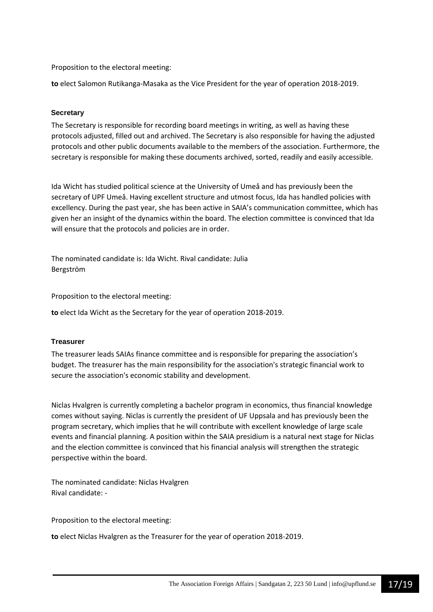Proposition to the electoral meeting:

**to** elect Salomon Rutikanga-Masaka as the Vice President for the year of operation 2018-2019.

#### **Secretary**

The Secretary is responsible for recording board meetings in writing, as well as having these protocols adjusted, filled out and archived. The Secretary is also responsible for having the adjusted protocols and other public documents available to the members of the association. Furthermore, the secretary is responsible for making these documents archived, sorted, readily and easily accessible.

Ida Wicht has studied political science at the University of Umeå and has previously been the secretary of UPF Umeå. Having excellent structure and utmost focus, Ida has handled policies with excellency. During the past year, she has been active in SAIA's communication committee, which has given her an insight of the dynamics within the board. The election committee is convinced that Ida will ensure that the protocols and policies are in order.

The nominated candidate is: Ida Wicht. Rival candidate: Julia Bergström

Proposition to the electoral meeting:

**to** elect Ida Wicht as the Secretary for the year of operation 2018-2019.

#### **Treasurer**

The treasurer leads SAIAs finance committee and is responsible for preparing the association's budget. The treasurer has the main responsibility for the association's strategic financial work to secure the association's economic stability and development.

Niclas Hvalgren is currently completing a bachelor program in economics, thus financial knowledge comes without saying. Niclas is currently the president of UF Uppsala and has previously been the program secretary, which implies that he will contribute with excellent knowledge of large scale events and financial planning. A position within the SAIA presidium is a natural next stage for Niclas and the election committee is convinced that his financial analysis will strengthen the strategic perspective within the board.

The nominated candidate: Niclas Hvalgren Rival candidate: -

Proposition to the electoral meeting:

**to** elect Niclas Hvalgren as the Treasurer for the year of operation 2018-2019.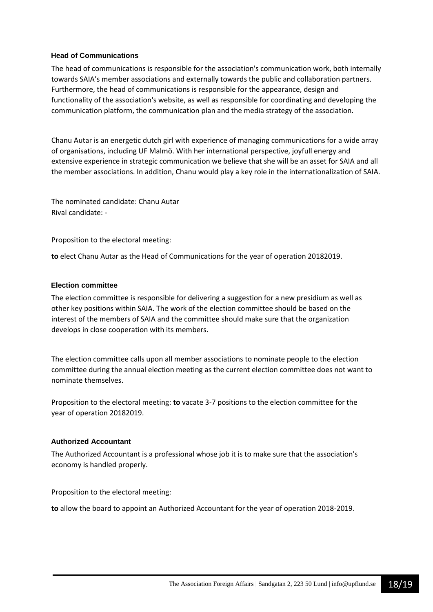#### **Head of Communications**

The head of communications is responsible for the association's communication work, both internally towards SAIA's member associations and externally towards the public and collaboration partners. Furthermore, the head of communications is responsible for the appearance, design and functionality of the association's website, as well as responsible for coordinating and developing the communication platform, the communication plan and the media strategy of the association.

Chanu Autar is an energetic dutch girl with experience of managing communications for a wide array of organisations, including UF Malmö. With her international perspective, joyfull energy and extensive experience in strategic communication we believe that she will be an asset for SAIA and all the member associations. In addition, Chanu would play a key role in the internationalization of SAIA.

The nominated candidate: Chanu Autar Rival candidate: -

Proposition to the electoral meeting:

**to** elect Chanu Autar as the Head of Communications for the year of operation 20182019.

#### **Election committee**

The election committee is responsible for delivering a suggestion for a new presidium as well as other key positions within SAIA. The work of the election committee should be based on the interest of the members of SAIA and the committee should make sure that the organization develops in close cooperation with its members.

The election committee calls upon all member associations to nominate people to the election committee during the annual election meeting as the current election committee does not want to nominate themselves.

Proposition to the electoral meeting: **to** vacate 3-7 positions to the election committee for the year of operation 20182019.

#### **Authorized Accountant**

The Authorized Accountant is a professional whose job it is to make sure that the association's economy is handled properly.

Proposition to the electoral meeting:

**to** allow the board to appoint an Authorized Accountant for the year of operation 2018-2019.